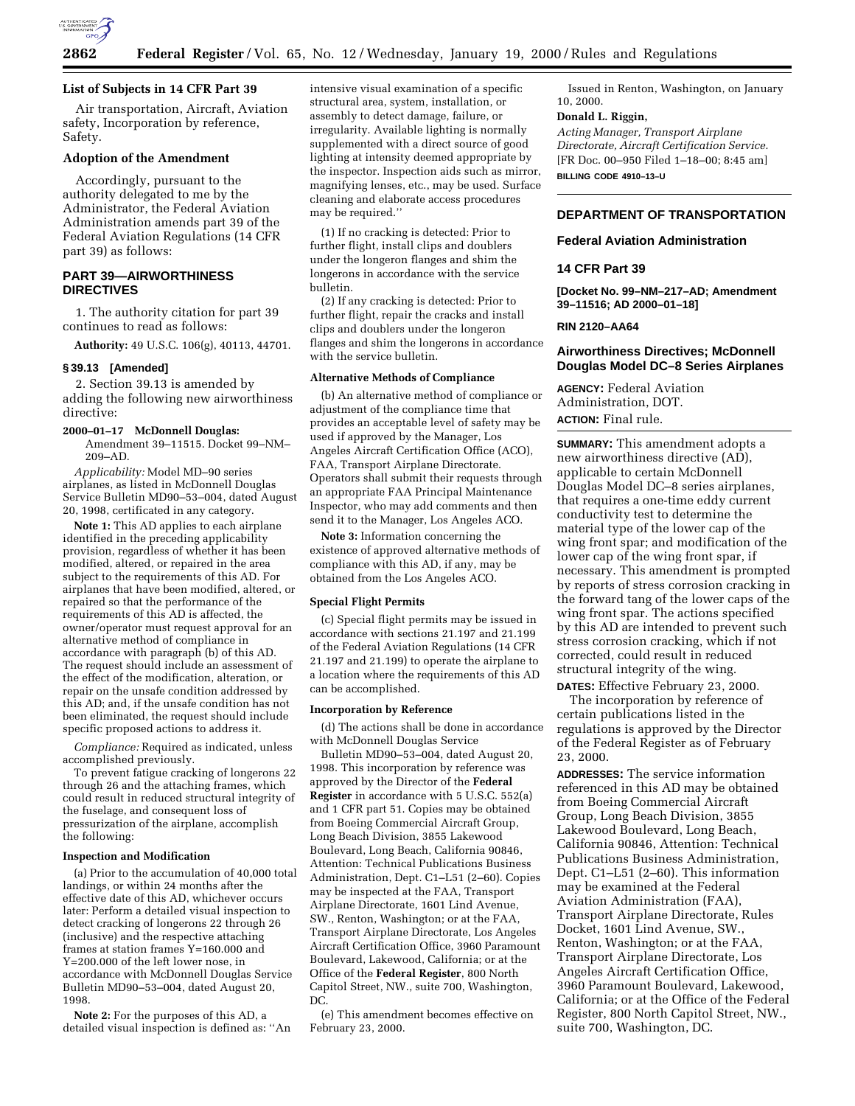

### **List of Subjects in 14 CFR Part 39**

Air transportation, Aircraft, Aviation safety, Incorporation by reference, Safety.

### **Adoption of the Amendment**

Accordingly, pursuant to the authority delegated to me by the Administrator, the Federal Aviation Administration amends part 39 of the Federal Aviation Regulations (14 CFR part 39) as follows:

# **PART 39—AIRWORTHINESS DIRECTIVES**

1. The authority citation for part 39 continues to read as follows:

**Authority:** 49 U.S.C. 106(g), 40113, 44701.

# **§ 39.13 [Amended]**

2. Section 39.13 is amended by adding the following new airworthiness directive:

### **2000–01–17 McDonnell Douglas:**

Amendment 39–11515. Docket 99–NM– 209–AD.

*Applicability:* Model MD–90 series airplanes, as listed in McDonnell Douglas Service Bulletin MD90–53–004, dated August 20, 1998, certificated in any category.

**Note 1:** This AD applies to each airplane identified in the preceding applicability provision, regardless of whether it has been modified, altered, or repaired in the area subject to the requirements of this AD. For airplanes that have been modified, altered, or repaired so that the performance of the requirements of this AD is affected, the owner/operator must request approval for an alternative method of compliance in accordance with paragraph (b) of this AD. The request should include an assessment of the effect of the modification, alteration, or repair on the unsafe condition addressed by this AD; and, if the unsafe condition has not been eliminated, the request should include specific proposed actions to address it.

*Compliance:* Required as indicated, unless accomplished previously.

To prevent fatigue cracking of longerons 22 through 26 and the attaching frames, which could result in reduced structural integrity of the fuselage, and consequent loss of pressurization of the airplane, accomplish the following:

#### **Inspection and Modification**

(a) Prior to the accumulation of 40,000 total landings, or within 24 months after the effective date of this AD, whichever occurs later: Perform a detailed visual inspection to detect cracking of longerons 22 through 26 (inclusive) and the respective attaching frames at station frames Y=160.000 and Y=200.000 of the left lower nose, in accordance with McDonnell Douglas Service Bulletin MD90–53–004, dated August 20, 1998.

**Note 2:** For the purposes of this AD, a detailed visual inspection is defined as: ''An intensive visual examination of a specific structural area, system, installation, or assembly to detect damage, failure, or irregularity. Available lighting is normally supplemented with a direct source of good lighting at intensity deemed appropriate by the inspector. Inspection aids such as mirror, magnifying lenses, etc., may be used. Surface cleaning and elaborate access procedures may be required.''

(1) If no cracking is detected: Prior to further flight, install clips and doublers under the longeron flanges and shim the longerons in accordance with the service bulletin.

(2) If any cracking is detected: Prior to further flight, repair the cracks and install clips and doublers under the longeron flanges and shim the longerons in accordance with the service bulletin.

# **Alternative Methods of Compliance**

(b) An alternative method of compliance or adjustment of the compliance time that provides an acceptable level of safety may be used if approved by the Manager, Los Angeles Aircraft Certification Office (ACO), FAA, Transport Airplane Directorate. Operators shall submit their requests through an appropriate FAA Principal Maintenance Inspector, who may add comments and then send it to the Manager, Los Angeles ACO.

**Note 3:** Information concerning the existence of approved alternative methods of compliance with this AD, if any, may be obtained from the Los Angeles ACO.

# **Special Flight Permits**

(c) Special flight permits may be issued in accordance with sections 21.197 and 21.199 of the Federal Aviation Regulations (14 CFR 21.197 and 21.199) to operate the airplane to a location where the requirements of this AD can be accomplished.

#### **Incorporation by Reference**

(d) The actions shall be done in accordance with McDonnell Douglas Service

Bulletin MD90–53–004, dated August 20, 1998. This incorporation by reference was approved by the Director of the **Federal Register** in accordance with 5 U.S.C. 552(a) and 1 CFR part 51. Copies may be obtained from Boeing Commercial Aircraft Group, Long Beach Division, 3855 Lakewood Boulevard, Long Beach, California 90846, Attention: Technical Publications Business Administration, Dept. C1–L51 (2–60). Copies may be inspected at the FAA, Transport Airplane Directorate, 1601 Lind Avenue, SW., Renton, Washington; or at the FAA, Transport Airplane Directorate, Los Angeles Aircraft Certification Office, 3960 Paramount Boulevard, Lakewood, California; or at the Office of the **Federal Register**, 800 North Capitol Street, NW., suite 700, Washington, DC.

(e) This amendment becomes effective on February 23, 2000.

Issued in Renton, Washington, on January 10, 2000.

### **Donald L. Riggin,**

*Acting Manager, Transport Airplane Directorate, Aircraft Certification Service.* [FR Doc. 00–950 Filed 1–18–00; 8:45 am] **BILLING CODE 4910–13–U**

# **DEPARTMENT OF TRANSPORTATION**

### **Federal Aviation Administration**

# **14 CFR Part 39**

**[Docket No. 99–NM–217–AD; Amendment 39–11516; AD 2000–01–18]**

### **RIN 2120–AA64**

# **Airworthiness Directives; McDonnell Douglas Model DC–8 Series Airplanes**

**AGENCY:** Federal Aviation Administration, DOT. **ACTION:** Final rule.

**SUMMARY:** This amendment adopts a new airworthiness directive (AD), applicable to certain McDonnell Douglas Model DC–8 series airplanes, that requires a one-time eddy current conductivity test to determine the material type of the lower cap of the wing front spar; and modification of the lower cap of the wing front spar, if necessary. This amendment is prompted by reports of stress corrosion cracking in the forward tang of the lower caps of the wing front spar. The actions specified by this AD are intended to prevent such stress corrosion cracking, which if not corrected, could result in reduced structural integrity of the wing.

**DATES:** Effective February 23, 2000.

The incorporation by reference of certain publications listed in the regulations is approved by the Director of the Federal Register as of February 23, 2000.

**ADDRESSES:** The service information referenced in this AD may be obtained from Boeing Commercial Aircraft Group, Long Beach Division, 3855 Lakewood Boulevard, Long Beach, California 90846, Attention: Technical Publications Business Administration, Dept. C1–L51 (2–60). This information may be examined at the Federal Aviation Administration (FAA), Transport Airplane Directorate, Rules Docket, 1601 Lind Avenue, SW., Renton, Washington; or at the FAA, Transport Airplane Directorate, Los Angeles Aircraft Certification Office, 3960 Paramount Boulevard, Lakewood, California; or at the Office of the Federal Register, 800 North Capitol Street, NW., suite 700, Washington, DC.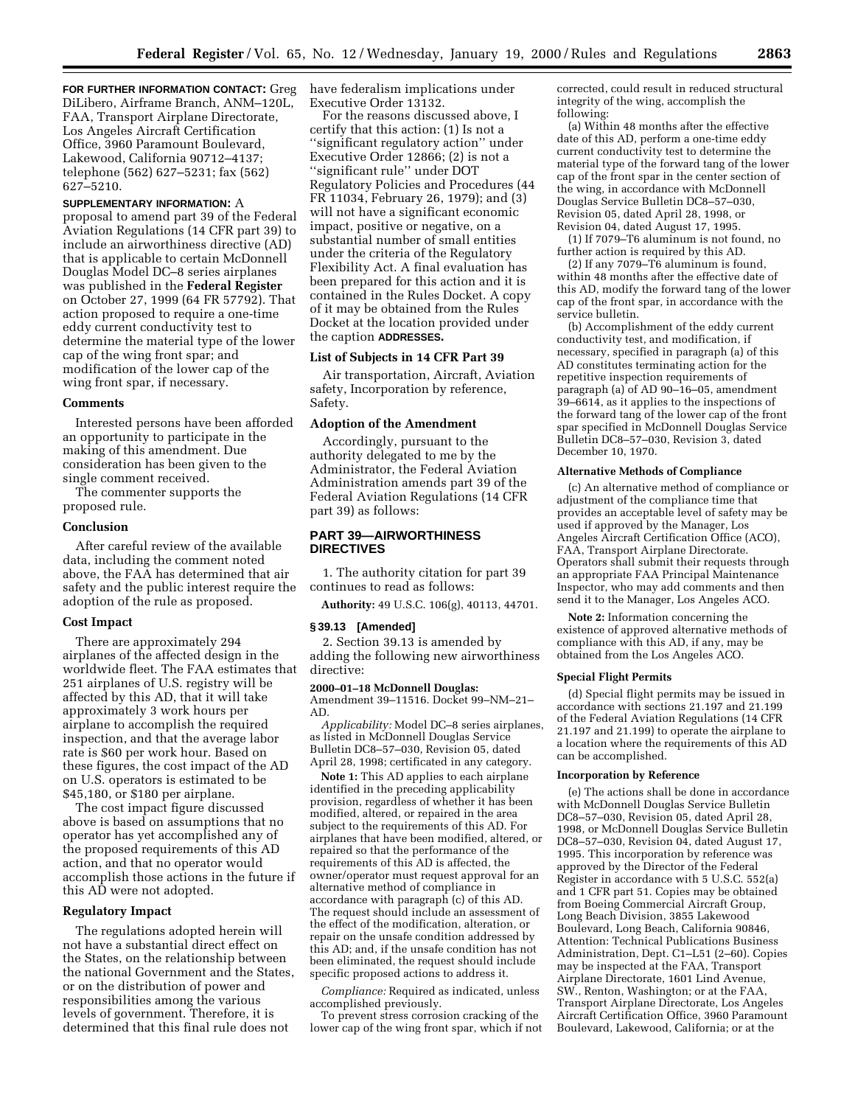**FOR FURTHER INFORMATION CONTACT:** Greg DiLibero, Airframe Branch, ANM–120L, FAA, Transport Airplane Directorate, Los Angeles Aircraft Certification Office, 3960 Paramount Boulevard, Lakewood, California 90712–4137; telephone (562) 627–5231; fax (562) 627–5210.

### **SUPPLEMENTARY INFORMATION:** A

proposal to amend part 39 of the Federal Aviation Regulations (14 CFR part 39) to include an airworthiness directive (AD) that is applicable to certain McDonnell Douglas Model DC–8 series airplanes was published in the **Federal Register** on October 27, 1999 (64 FR 57792). That action proposed to require a one-time eddy current conductivity test to determine the material type of the lower cap of the wing front spar; and modification of the lower cap of the wing front spar, if necessary.

#### **Comments**

Interested persons have been afforded an opportunity to participate in the making of this amendment. Due consideration has been given to the single comment received.

The commenter supports the proposed rule.

#### **Conclusion**

After careful review of the available data, including the comment noted above, the FAA has determined that air safety and the public interest require the adoption of the rule as proposed.

# **Cost Impact**

There are approximately 294 airplanes of the affected design in the worldwide fleet. The FAA estimates that 251 airplanes of U.S. registry will be affected by this AD, that it will take approximately 3 work hours per airplane to accomplish the required inspection, and that the average labor rate is \$60 per work hour. Based on these figures, the cost impact of the AD on U.S. operators is estimated to be \$45,180, or \$180 per airplane.

The cost impact figure discussed above is based on assumptions that no operator has yet accomplished any of the proposed requirements of this AD action, and that no operator would accomplish those actions in the future if this AD were not adopted.

# **Regulatory Impact**

The regulations adopted herein will not have a substantial direct effect on the States, on the relationship between the national Government and the States, or on the distribution of power and responsibilities among the various levels of government. Therefore, it is determined that this final rule does not

have federalism implications under Executive Order 13132.

For the reasons discussed above, I certify that this action: (1) Is not a ''significant regulatory action'' under Executive Order 12866; (2) is not a ''significant rule'' under DOT Regulatory Policies and Procedures (44 FR 11034, February 26, 1979); and (3) will not have a significant economic impact, positive or negative, on a substantial number of small entities under the criteria of the Regulatory Flexibility Act. A final evaluation has been prepared for this action and it is contained in the Rules Docket. A copy of it may be obtained from the Rules Docket at the location provided under the caption **ADDRESSES.**

### **List of Subjects in 14 CFR Part 39**

Air transportation, Aircraft, Aviation safety, Incorporation by reference, Safety.

# **Adoption of the Amendment**

Accordingly, pursuant to the authority delegated to me by the Administrator, the Federal Aviation Administration amends part 39 of the Federal Aviation Regulations (14 CFR part 39) as follows:

# **PART 39—AIRWORTHINESS DIRECTIVES**

1. The authority citation for part 39 continues to read as follows:

**Authority:** 49 U.S.C. 106(g), 40113, 44701.

#### **§ 39.13 [Amended]**

2. Section 39.13 is amended by adding the following new airworthiness directive:

### **2000–01–18 McDonnell Douglas:**

Amendment 39–11516. Docket 99–NM–21– AD.

*Applicability:* Model DC–8 series airplanes, as listed in McDonnell Douglas Service Bulletin DC8–57–030, Revision 05, dated April 28, 1998; certificated in any category.

**Note 1:** This AD applies to each airplane identified in the preceding applicability provision, regardless of whether it has been modified, altered, or repaired in the area subject to the requirements of this AD. For airplanes that have been modified, altered, or repaired so that the performance of the requirements of this AD is affected, the owner/operator must request approval for an alternative method of compliance in accordance with paragraph (c) of this AD. The request should include an assessment of the effect of the modification, alteration, or repair on the unsafe condition addressed by this AD; and, if the unsafe condition has not been eliminated, the request should include specific proposed actions to address it.

*Compliance:* Required as indicated, unless accomplished previously.

To prevent stress corrosion cracking of the lower cap of the wing front spar, which if not

corrected, could result in reduced structural integrity of the wing, accomplish the following:

(a) Within 48 months after the effective date of this AD, perform a one-time eddy current conductivity test to determine the material type of the forward tang of the lower cap of the front spar in the center section of the wing, in accordance with McDonnell Douglas Service Bulletin DC8–57–030, Revision 05, dated April 28, 1998, or Revision 04, dated August 17, 1995.

(1) If 7079–T6 aluminum is not found, no further action is required by this AD.

(2) If any 7079–T6 aluminum is found, within 48 months after the effective date of this AD, modify the forward tang of the lower cap of the front spar, in accordance with the service bulletin.

(b) Accomplishment of the eddy current conductivity test, and modification, if necessary, specified in paragraph (a) of this AD constitutes terminating action for the repetitive inspection requirements of paragraph (a) of AD 90–16–05, amendment 39–6614, as it applies to the inspections of the forward tang of the lower cap of the front spar specified in McDonnell Douglas Service Bulletin DC8–57–030, Revision 3, dated December 10, 1970.

#### **Alternative Methods of Compliance**

(c) An alternative method of compliance or adjustment of the compliance time that provides an acceptable level of safety may be used if approved by the Manager, Los Angeles Aircraft Certification Office (ACO), FAA, Transport Airplane Directorate. Operators shall submit their requests through an appropriate FAA Principal Maintenance Inspector, who may add comments and then send it to the Manager, Los Angeles ACO.

**Note 2:** Information concerning the existence of approved alternative methods of compliance with this AD, if any, may be obtained from the Los Angeles ACO.

#### **Special Flight Permits**

(d) Special flight permits may be issued in accordance with sections 21.197 and 21.199 of the Federal Aviation Regulations (14 CFR 21.197 and 21.199) to operate the airplane to a location where the requirements of this AD can be accomplished.

#### **Incorporation by Reference**

(e) The actions shall be done in accordance with McDonnell Douglas Service Bulletin DC8–57–030, Revision 05, dated April 28, 1998, or McDonnell Douglas Service Bulletin DC8–57–030, Revision 04, dated August 17, 1995. This incorporation by reference was approved by the Director of the Federal Register in accordance with 5 U.S.C. 552(a) and 1 CFR part 51. Copies may be obtained from Boeing Commercial Aircraft Group, Long Beach Division, 3855 Lakewood Boulevard, Long Beach, California 90846, Attention: Technical Publications Business Administration, Dept. C1–L51 (2–60). Copies may be inspected at the FAA, Transport Airplane Directorate, 1601 Lind Avenue, SW., Renton, Washington; or at the FAA, Transport Airplane Directorate, Los Angeles Aircraft Certification Office, 3960 Paramount Boulevard, Lakewood, California; or at the